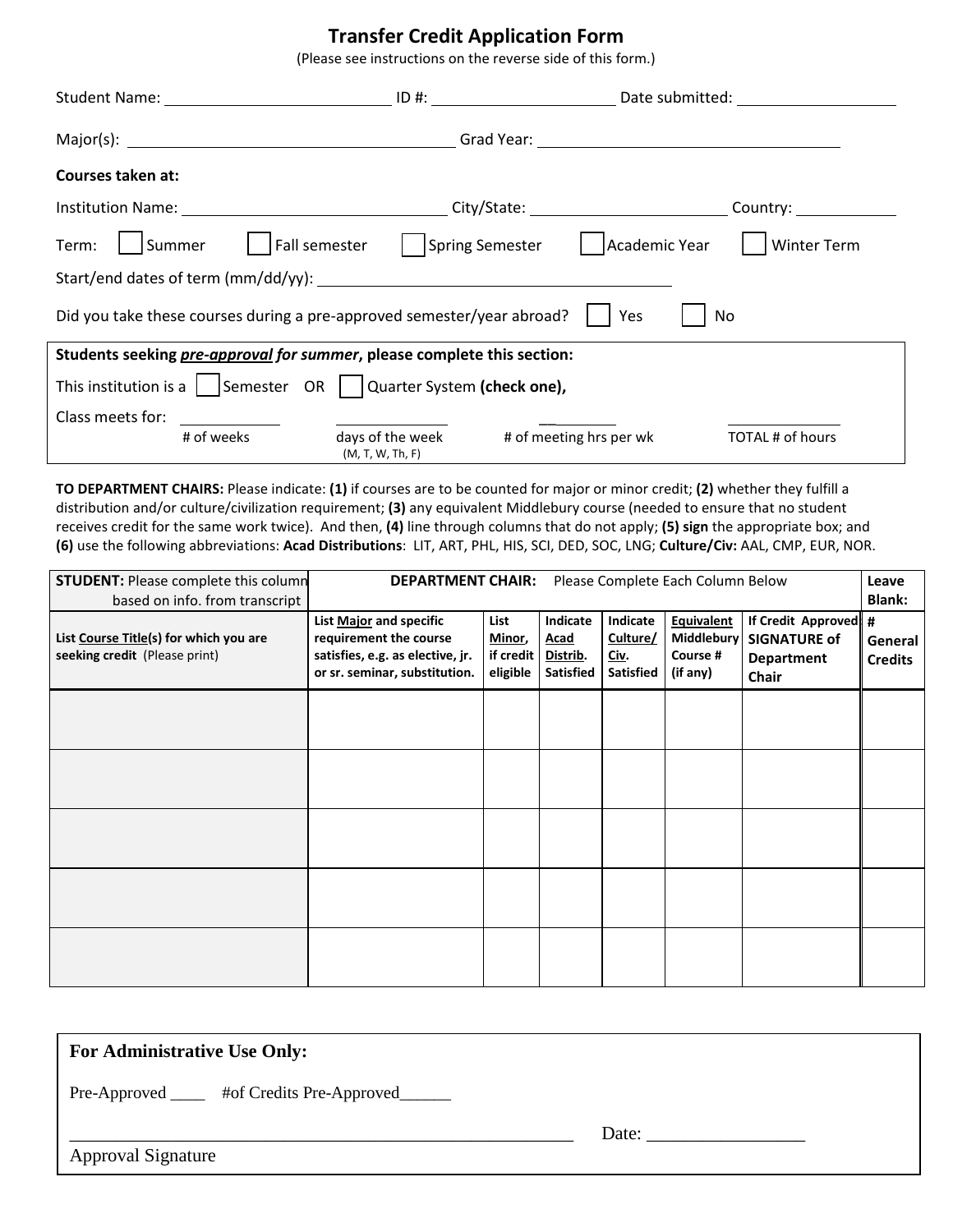## **Transfer Credit Application Form**

(Please see instructions on the reverse side of this form.)

| Courses taken at:                                                                     |                                                              |                                                                        |  |  |  |  |  |  |
|---------------------------------------------------------------------------------------|--------------------------------------------------------------|------------------------------------------------------------------------|--|--|--|--|--|--|
|                                                                                       |                                                              |                                                                        |  |  |  |  |  |  |
| Term:                                                                                 |                                                              | Summer   Fall semester   Spring Semester   Academic Year   Winter Term |  |  |  |  |  |  |
|                                                                                       |                                                              |                                                                        |  |  |  |  |  |  |
| Did you take these courses during a pre-approved semester/year abroad?<br>  Yes<br>No |                                                              |                                                                        |  |  |  |  |  |  |
| Students seeking pre-approval for summer, please complete this section:               |                                                              |                                                                        |  |  |  |  |  |  |
| This institution is a $\vert$   Semester OR $\vert$ Quarter System (check one),       |                                                              |                                                                        |  |  |  |  |  |  |
| Class meets for:                                                                      |                                                              |                                                                        |  |  |  |  |  |  |
| # of weeks                                                                            | days of the week # of meeting hrs per wk<br>(M, T, W, Th, F) | TOTAL # of hours                                                       |  |  |  |  |  |  |

**TO DEPARTMENT CHAIRS:** Please indicate: **(1)** if courses are to be counted for major or minor credit; **(2)** whether they fulfill a distribution and/or culture/civilization requirement; **(3)** any equivalent Middlebury course (needed to ensure that no student receives credit for the same work twice). And then, **(4)** line through columns that do not apply; **(5) sign** the appropriate box; and **(6)** use the following abbreviations: **Acad Distributions**: LIT, ART, PHL, HIS, SCI, DED, SOC, LNG; **Culture/Civ:** AAL, CMP, EUR, NOR.

| <b>STUDENT: Please complete this column</b><br>based on info. from transcript | Please Complete Each Column Below<br><b>DEPARTMENT CHAIR:</b>                                                          |                                         |                                                  |                                                          |                                                         |                                                                            | Leave<br><b>Blank:</b>    |
|-------------------------------------------------------------------------------|------------------------------------------------------------------------------------------------------------------------|-----------------------------------------|--------------------------------------------------|----------------------------------------------------------|---------------------------------------------------------|----------------------------------------------------------------------------|---------------------------|
| List Course Title(s) for which you are<br>seeking credit (Please print)       | List Major and specific<br>requirement the course<br>satisfies, e.g. as elective, jr.<br>or sr. seminar, substitution. | List<br>Minor,<br>if credit<br>eligible | Indicate<br><b>Acad</b><br>Distrib.<br>Satisfied | Indicate<br>Culture/<br><u>Civ</u> .<br><b>Satisfied</b> | <b>Equivalent</b><br>Middlebury<br>Course #<br>(if any) | If Credit Approved: #<br><b>SIGNATURE of</b><br>Department<br><b>Chair</b> | General<br><b>Credits</b> |
|                                                                               |                                                                                                                        |                                         |                                                  |                                                          |                                                         |                                                                            |                           |
|                                                                               |                                                                                                                        |                                         |                                                  |                                                          |                                                         |                                                                            |                           |
|                                                                               |                                                                                                                        |                                         |                                                  |                                                          |                                                         |                                                                            |                           |
|                                                                               |                                                                                                                        |                                         |                                                  |                                                          |                                                         |                                                                            |                           |
|                                                                               |                                                                                                                        |                                         |                                                  |                                                          |                                                         |                                                                            |                           |

#### **For Administrative Use Only:**

Pre-Approved \_\_\_\_ #of Credits Pre-Approved\_\_\_\_\_

Approval Signature

\_\_\_\_\_\_\_\_\_\_\_\_\_\_\_\_\_\_\_\_\_\_\_\_\_\_\_\_\_\_\_\_\_\_\_\_\_\_\_\_\_\_\_\_\_\_\_\_\_\_\_\_\_\_ Date: \_\_\_\_\_\_\_\_\_\_\_\_\_\_\_\_\_